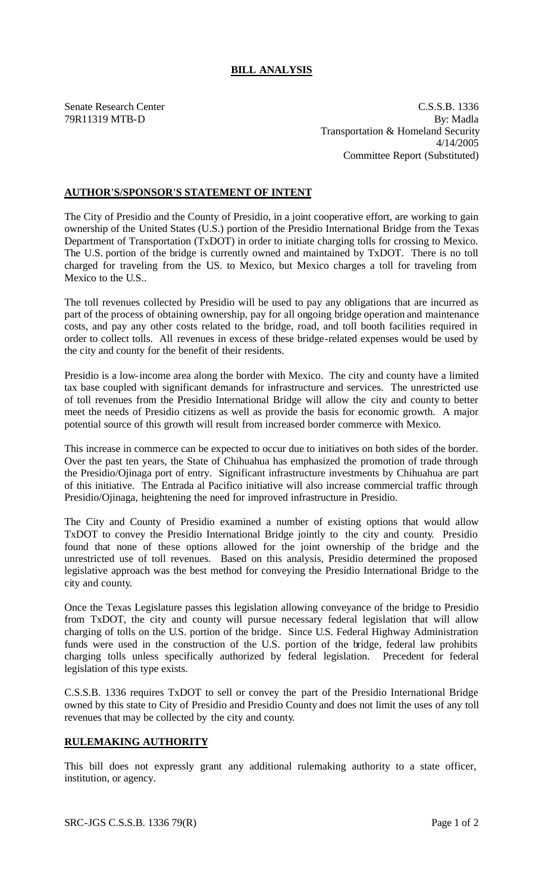## **BILL ANALYSIS**

Senate Research Center C.S.S.B. 1336 79R11319 MTB-D By: Madla Transportation & Homeland Security 4/14/2005 Committee Report (Substituted)

## **AUTHOR'S/SPONSOR'S STATEMENT OF INTENT**

The City of Presidio and the County of Presidio, in a joint cooperative effort, are working to gain ownership of the United States (U.S.) portion of the Presidio International Bridge from the Texas Department of Transportation (TxDOT) in order to initiate charging tolls for crossing to Mexico. The U.S. portion of the bridge is currently owned and maintained by TxDOT. There is no toll charged for traveling from the U.S. to Mexico, but Mexico charges a toll for traveling from Mexico to the U.S..

The toll revenues collected by Presidio will be used to pay any obligations that are incurred as part of the process of obtaining ownership, pay for all ongoing bridge operation and maintenance costs, and pay any other costs related to the bridge, road, and toll booth facilities required in order to collect tolls. All revenues in excess of these bridge-related expenses would be used by the city and county for the benefit of their residents.

Presidio is a low-income area along the border with Mexico. The city and county have a limited tax base coupled with significant demands for infrastructure and services. The unrestricted use of toll revenues from the Presidio International Bridge will allow the city and county to better meet the needs of Presidio citizens as well as provide the basis for economic growth. A major potential source of this growth will result from increased border commerce with Mexico.

This increase in commerce can be expected to occur due to initiatives on both sides of the border. Over the past ten years, the State of Chihuahua has emphasized the promotion of trade through the Presidio/Ojinaga port of entry. Significant infrastructure investments by Chihuahua are part of this initiative. The Entrada al Pacifico initiative will also increase commercial traffic through Presidio/Ojinaga, heightening the need for improved infrastructure in Presidio.

The City and County of Presidio examined a number of existing options that would allow TxDOT to convey the Presidio International Bridge jointly to the city and county. Presidio found that none of these options allowed for the joint ownership of the bridge and the unrestricted use of toll revenues. Based on this analysis, Presidio determined the proposed legislative approach was the best method for conveying the Presidio International Bridge to the city and county.

Once the Texas Legislature passes this legislation allowing conveyance of the bridge to Presidio from TxDOT, the city and county will pursue necessary federal legislation that will allow charging of tolls on the U.S. portion of the bridge. Since U.S. Federal Highway Administration funds were used in the construction of the U.S. portion of the bridge, federal law prohibits charging tolls unless specifically authorized by federal legislation. Precedent for federal legislation of this type exists.

C.S.S.B. 1336 requires TxDOT to sell or convey the part of the Presidio International Bridge owned by this state to City of Presidio and Presidio County and does not limit the uses of any toll revenues that may be collected by the city and county.

## **RULEMAKING AUTHORITY**

This bill does not expressly grant any additional rulemaking authority to a state officer, institution, or agency.